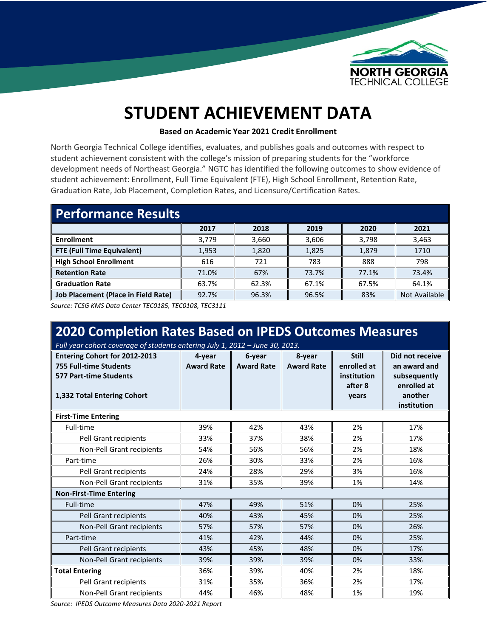

## **STUDENT ACHIEVEMENT DATA**

## **Based on Academic Year 2021 Credit Enrollment**

North Georgia Technical College identifies, evaluates, and publishes goals and outcomes with respect to student achievement consistent with the college's mission of preparing students for the "workforce development needs of Northeast Georgia." NGTC has identified the following outcomes to show evidence of student achievement: Enrollment, Full Time Equivalent (FTE), High School Enrollment, Retention Rate, Graduation Rate, Job Placement, Completion Rates, and Licensure/Certification Rates.

| <b>Performance Results</b>                 |       |       |       |       |               |
|--------------------------------------------|-------|-------|-------|-------|---------------|
|                                            | 2017  | 2018  | 2019  | 2020  | 2021          |
| <b>Enrollment</b>                          | 3.779 | 3.660 | 3,606 | 3,798 | 3,463         |
| FTE (Full Time Equivalent)                 | 1,953 | 1,820 | 1,825 | 1,879 | 1710          |
| <b>High School Enrollment</b>              | 616   | 721   | 783   | 888   | 798           |
| <b>Retention Rate</b>                      | 71.0% | 67%   | 73.7% | 77.1% | 73.4%         |
| <b>Graduation Rate</b>                     | 63.7% | 62.3% | 67.1% | 67.5% | 64.1%         |
| <b>Job Placement (Place in Field Rate)</b> | 92.7% | 96.3% | 96.5% | 83%   | Not Available |

*Source: TCSG KMS Data Center TEC0185, TEC0108, TEC3111*

| 2020 Completion Rates Based on IPEDS Outcomes Measures<br>Full year cohort coverage of students entering July 1, 2012 - June 30, 2013. |                             |                             |                             |                                                                |                                                                                          |  |
|----------------------------------------------------------------------------------------------------------------------------------------|-----------------------------|-----------------------------|-----------------------------|----------------------------------------------------------------|------------------------------------------------------------------------------------------|--|
| <b>Entering Cohort for 2012-2013</b><br>755 Full-time Students<br><b>577 Part-time Students</b><br>1,332 Total Entering Cohort         | 4-year<br><b>Award Rate</b> | 6-year<br><b>Award Rate</b> | 8-year<br><b>Award Rate</b> | <b>Still</b><br>enrolled at<br>institution<br>after 8<br>years | Did not receive<br>an award and<br>subsequently<br>enrolled at<br>another<br>institution |  |
| <b>First-Time Entering</b>                                                                                                             |                             |                             |                             |                                                                |                                                                                          |  |
| Full-time                                                                                                                              | 39%                         | 42%                         | 43%                         | 2%                                                             | 17%                                                                                      |  |
| Pell Grant recipients                                                                                                                  | 33%                         | 37%                         | 38%                         | 2%                                                             | 17%                                                                                      |  |
| Non-Pell Grant recipients                                                                                                              | 54%                         | 56%                         | 56%                         | 2%                                                             | 18%                                                                                      |  |
| Part-time                                                                                                                              | 26%                         | 30%                         | 33%                         | 2%                                                             | 16%                                                                                      |  |
| Pell Grant recipients                                                                                                                  | 24%                         | 28%                         | 29%                         | 3%                                                             | 16%                                                                                      |  |
| Non-Pell Grant recipients                                                                                                              | 31%                         | 35%                         | 39%                         | 1%                                                             | 14%                                                                                      |  |
| <b>Non-First-Time Entering</b>                                                                                                         |                             |                             |                             |                                                                |                                                                                          |  |
| Full-time                                                                                                                              | 47%                         | 49%                         | 51%                         | 0%                                                             | 25%                                                                                      |  |
| Pell Grant recipients                                                                                                                  | 40%                         | 43%                         | 45%                         | 0%                                                             | 25%                                                                                      |  |
| Non-Pell Grant recipients                                                                                                              | 57%                         | 57%                         | 57%                         | 0%                                                             | 26%                                                                                      |  |
| Part-time                                                                                                                              | 41%                         | 42%                         | 44%                         | 0%                                                             | 25%                                                                                      |  |
| Pell Grant recipients                                                                                                                  | 43%                         | 45%                         | 48%                         | 0%                                                             | 17%                                                                                      |  |
| Non-Pell Grant recipients                                                                                                              | 39%                         | 39%                         | 39%                         | 0%                                                             | 33%                                                                                      |  |
| <b>Total Entering</b>                                                                                                                  | 36%                         | 39%                         | 40%                         | 2%                                                             | 18%                                                                                      |  |
| Pell Grant recipients                                                                                                                  | 31%                         | 35%                         | 36%                         | 2%                                                             | 17%                                                                                      |  |
| Non-Pell Grant recipients                                                                                                              | 44%                         | 46%                         | 48%                         | 1%                                                             | 19%                                                                                      |  |

*Source: IPEDS Outcome Measures Data 2020-2021 Report*